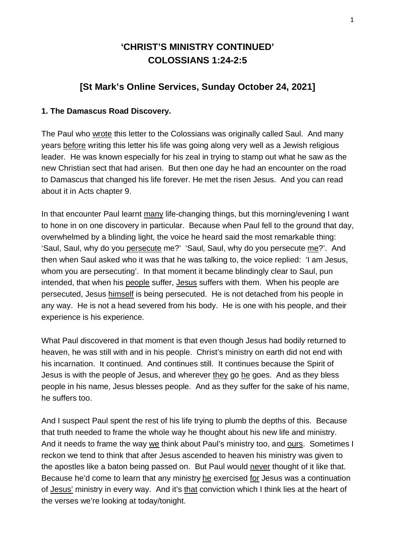# **'CHRIST'S MINISTRY CONTINUED' COLOSSIANS 1:24-2:5**

## **[St Mark's Online Services, Sunday October 24, 2021]**

#### **1. The Damascus Road Discovery.**

The Paul who wrote this letter to the Colossians was originally called Saul. And many years before writing this letter his life was going along very well as a Jewish religious leader. He was known especially for his zeal in trying to stamp out what he saw as the new Christian sect that had arisen. But then one day he had an encounter on the road to Damascus that changed his life forever. He met the risen Jesus. And you can read about it in Acts chapter 9.

In that encounter Paul learnt many life-changing things, but this morning/evening I want to hone in on one discovery in particular. Because when Paul fell to the ground that day, overwhelmed by a blinding light, the voice he heard said the most remarkable thing: 'Saul, Saul, why do you persecute me?' 'Saul, Saul, why do you persecute me?'. And then when Saul asked who it was that he was talking to, the voice replied: 'I am Jesus, whom you are persecuting'. In that moment it became blindingly clear to Saul, pun intended, that when his people suffer, Jesus suffers with them. When his people are persecuted, Jesus himself is being persecuted. He is not detached from his people in any way. He is not a head severed from his body. He is one with his people, and their experience is his experience.

What Paul discovered in that moment is that even though Jesus had bodily returned to heaven, he was still with and in his people. Christ's ministry on earth did not end with his incarnation. It continued. And continues still. It continues because the Spirit of Jesus is with the people of Jesus, and wherever they go he goes. And as they bless people in his name, Jesus blesses people. And as they suffer for the sake of his name, he suffers too.

And I suspect Paul spent the rest of his life trying to plumb the depths of this. Because that truth needed to frame the whole way he thought about his new life and ministry. And it needs to frame the way we think about Paul's ministry too, and ours. Sometimes I reckon we tend to think that after Jesus ascended to heaven his ministry was given to the apostles like a baton being passed on. But Paul would never thought of it like that. Because he'd come to learn that any ministry he exercised for Jesus was a continuation of Jesus' ministry in every way. And it's that conviction which I think lies at the heart of the verses we're looking at today/tonight.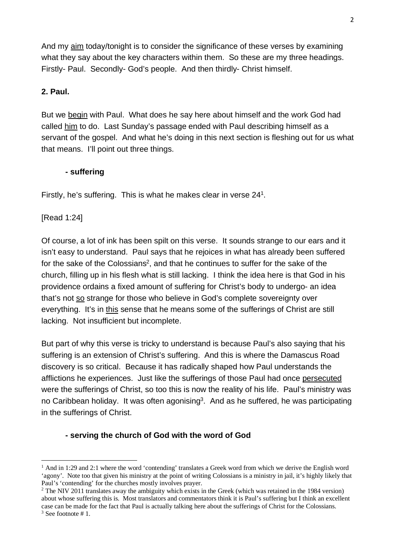And my aim today/tonight is to consider the significance of these verses by examining what they say about the key characters within them. So these are my three headings. Firstly- Paul. Secondly- God's people. And then thirdly- Christ himself.

### **2. Paul.**

But we begin with Paul. What does he say here about himself and the work God had called him to do. Last Sunday's passage ended with Paul describing himself as a servant of the gospel. And what he's doing in this next section is fleshing out for us what that means. I'll point out three things.

#### **- suffering**

Firstly, he's suffering. This is what he makes clear in verse 24<sup>1</sup>.

[Read 1:24]

Of course, a lot of ink has been spilt on this verse. It sounds strange to our ears and it isn't easy to understand. Paul says that he rejoices in what has already been suffered for the sake of the Colossians<sup>2</sup>, and that he continues to suffer for the sake of the church, filling up in his flesh what is still lacking. I think the idea here is that God in his providence ordains a fixed amount of suffering for Christ's body to undergo- an idea that's not so strange for those who believe in God's complete sovereignty over everything. It's in this sense that he means some of the sufferings of Christ are still lacking. Not insufficient but incomplete.

But part of why this verse is tricky to understand is because Paul's also saying that his suffering is an extension of Christ's suffering. And this is where the Damascus Road discovery is so critical. Because it has radically shaped how Paul understands the afflictions he experiences. Just like the sufferings of those Paul had once persecuted were the sufferings of Christ, so too this is now the reality of his life. Paul's ministry was no Caribbean holiday. It was often agonising<sup>3</sup>. And as he suffered, he was participating in the sufferings of Christ.

#### **- serving the church of God with the word of God**

<sup>&</sup>lt;sup>1</sup> And in 1:29 and 2:1 where the word 'contending' translates a Greek word from which we derive the English word 'agony'. Note too that given his ministry at the point of writing Colossians is a ministry in jail, it's highly likely that Paul's 'contending' for the churches mostly involves prayer.

 $2$  The NIV 2011 translates away the ambiguity which exists in the Greek (which was retained in the 1984 version) about whose suffering this is. Most translators and commentators think it is Paul's suffering but I think an excellent case can be made for the fact that Paul is actually talking here about the sufferings of Christ for the Colossians. 3 See footnote # 1.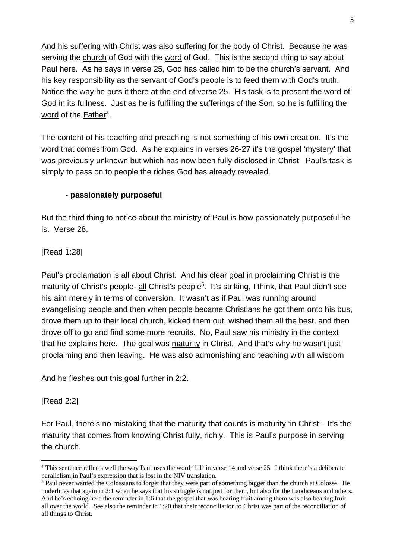And his suffering with Christ was also suffering for the body of Christ. Because he was serving the church of God with the word of God. This is the second thing to say about Paul here. As he says in verse 25, God has called him to be the church's servant. And his key responsibility as the servant of God's people is to feed them with God's truth. Notice the way he puts it there at the end of verse 25. His task is to present the word of God in its fullness. Just as he is fulfilling the sufferings of the Son, so he is fulfilling the word of the Father<sup>4</sup>.

The content of his teaching and preaching is not something of his own creation. It's the word that comes from God. As he explains in verses 26-27 it's the gospel 'mystery' that was previously unknown but which has now been fully disclosed in Christ. Paul's task is simply to pass on to people the riches God has already revealed.

## **- passionately purposeful**

But the third thing to notice about the ministry of Paul is how passionately purposeful he is. Verse 28.

[Read 1:28]

Paul's proclamation is all about Christ. And his clear goal in proclaiming Christ is the maturity of Christ's people- all Christ's people<sup>5</sup>. It's striking, I think, that Paul didn't see his aim merely in terms of conversion. It wasn't as if Paul was running around evangelising people and then when people became Christians he got them onto his bus, drove them up to their local church, kicked them out, wished them all the best, and then drove off to go and find some more recruits. No, Paul saw his ministry in the context that he explains here. The goal was maturity in Christ. And that's why he wasn't just proclaiming and then leaving. He was also admonishing and teaching with all wisdom.

And he fleshes out this goal further in 2:2.

#### [Read 2:2]

For Paul, there's no mistaking that the maturity that counts is maturity 'in Christ'. It's the maturity that comes from knowing Christ fully, richly. This is Paul's purpose in serving the church.

<sup>&</sup>lt;sup>4</sup> This sentence reflects well the way Paul uses the word 'fill' in verse 14 and verse 25. I think there's a deliberate parallelism in Paul's expression that is lost in the NIV translation.

<sup>&</sup>lt;sup>5</sup> Paul never wanted the Colossians to forget that they were part of something bigger than the church at Colosse. He underlines that again in 2:1 when he says that his struggle is not just for them, but also for the Laodiceans and others. And he's echoing here the reminder in 1:6 that the gospel that was bearing fruit among them was also bearing fruit all over the world. See also the reminder in 1:20 that their reconciliation to Christ was part of the reconciliation of all things to Christ.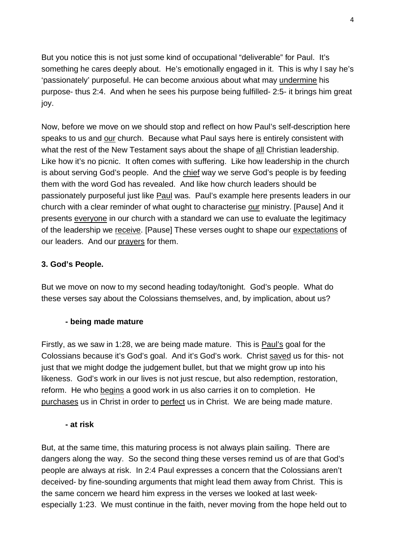But you notice this is not just some kind of occupational "deliverable" for Paul. It's something he cares deeply about. He's emotionally engaged in it. This is why I say he's 'passionately' purposeful. He can become anxious about what may undermine his purpose- thus 2:4. And when he sees his purpose being fulfilled- 2:5- it brings him great joy.

Now, before we move on we should stop and reflect on how Paul's self-description here speaks to us and our church. Because what Paul says here is entirely consistent with what the rest of the New Testament says about the shape of all Christian leadership. Like how it's no picnic. It often comes with suffering. Like how leadership in the church is about serving God's people. And the chief way we serve God's people is by feeding them with the word God has revealed. And like how church leaders should be passionately purposeful just like Paul was. Paul's example here presents leaders in our church with a clear reminder of what ought to characterise our ministry. [Pause] And it presents everyone in our church with a standard we can use to evaluate the legitimacy of the leadership we receive. [Pause] These verses ought to shape our expectations of our leaders. And our prayers for them.

#### **3. God's People.**

But we move on now to my second heading today/tonight. God's people. What do these verses say about the Colossians themselves, and, by implication, about us?

#### **- being made mature**

Firstly, as we saw in 1:28, we are being made mature. This is **Paul's goal for the** Colossians because it's God's goal. And it's God's work. Christ saved us for this- not just that we might dodge the judgement bullet, but that we might grow up into his likeness. God's work in our lives is not just rescue, but also redemption, restoration, reform. He who begins a good work in us also carries it on to completion. He purchases us in Christ in order to perfect us in Christ. We are being made mature.

#### **- at risk**

But, at the same time, this maturing process is not always plain sailing. There are dangers along the way. So the second thing these verses remind us of are that God's people are always at risk. In 2:4 Paul expresses a concern that the Colossians aren't deceived- by fine-sounding arguments that might lead them away from Christ. This is the same concern we heard him express in the verses we looked at last weekespecially 1:23. We must continue in the faith, never moving from the hope held out to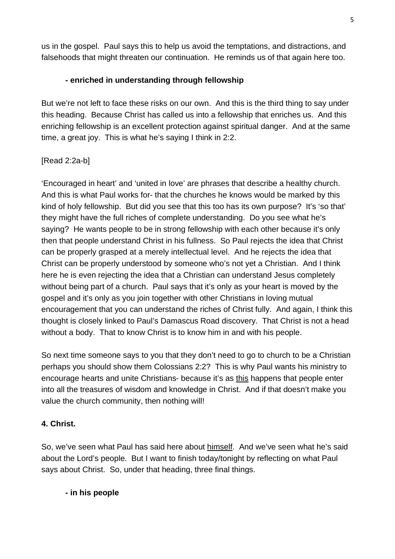us in the gospel. Paul says this to help us avoid the temptations, and distractions, and falsehoods that might threaten our continuation. He reminds us of that again here too.

## **- enriched in understanding through fellowship**

But we're not left to face these risks on our own. And this is the third thing to say under this heading. Because Christ has called us into a fellowship that enriches us. And this enriching fellowship is an excellent protection against spiritual danger. And at the same time, a great joy. This is what he's saying I think in 2:2.

#### [Read 2:2a-b]

'Encouraged in heart' and 'united in love' are phrases that describe a healthy church. And this is what Paul works for- that the churches he knows would be marked by this kind of holy fellowship. But did you see that this too has its own purpose? It's 'so that' they might have the full riches of complete understanding. Do you see what he's saying? He wants people to be in strong fellowship with each other because it's only then that people understand Christ in his fullness. So Paul rejects the idea that Christ can be properly grasped at a merely intellectual level. And he rejects the idea that Christ can be properly understood by someone who's not yet a Christian. And I think here he is even rejecting the idea that a Christian can understand Jesus completely without being part of a church. Paul says that it's only as your heart is moved by the gospel and it's only as you join together with other Christians in loving mutual encouragement that you can understand the riches of Christ fully. And again, I think this thought is closely linked to Paul's Damascus Road discovery. That Christ is not a head without a body. That to know Christ is to know him in and with his people.

So next time someone says to you that they don't need to go to church to be a Christian perhaps you should show them Colossians 2:2? This is why Paul wants his ministry to encourage hearts and unite Christians- because it's as this happens that people enter into all the treasures of wisdom and knowledge in Christ. And if that doesn't make you value the church community, then nothing will!

#### **4. Christ.**

So, we've seen what Paul has said here about himself. And we've seen what he's said about the Lord's people. But I want to finish today/tonight by reflecting on what Paul says about Christ. So, under that heading, three final things.

#### **- in his people**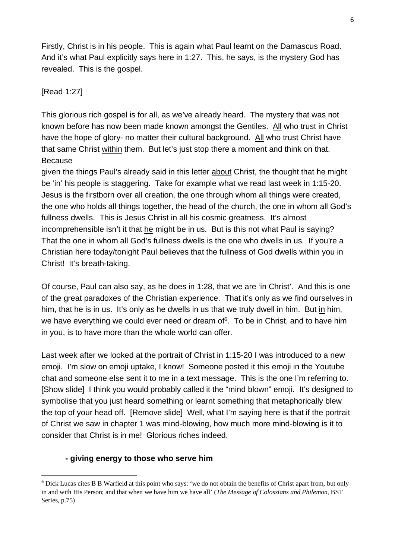Firstly, Christ is in his people. This is again what Paul learnt on the Damascus Road. And it's what Paul explicitly says here in 1:27. This, he says, is the mystery God has revealed. This is the gospel.

## [Read 1:27]

This glorious rich gospel is for all, as we've already heard. The mystery that was not known before has now been made known amongst the Gentiles. All who trust in Christ have the hope of glory- no matter their cultural background. All who trust Christ have that same Christ within them. But let's just stop there a moment and think on that. Because

given the things Paul's already said in this letter about Christ, the thought that he might be 'in' his people is staggering. Take for example what we read last week in 1:15-20. Jesus is the firstborn over all creation, the one through whom all things were created, the one who holds all things together, the head of the church, the one in whom all God's fullness dwells. This is Jesus Christ in all his cosmic greatness. It's almost incomprehensible isn't it that he might be in us. But is this not what Paul is saying? That the one in whom all God's fullness dwells is the one who dwells in us. If you're a Christian here today/tonight Paul believes that the fullness of God dwells within you in Christ! It's breath-taking.

Of course, Paul can also say, as he does in 1:28, that we are 'in Christ'. And this is one of the great paradoxes of the Christian experience. That it's only as we find ourselves in him, that he is in us. It's only as he dwells in us that we truly dwell in him. But in him, we have everything we could ever need or dream of<sup>6</sup>. To be in Christ, and to have him in you, is to have more than the whole world can offer.

Last week after we looked at the portrait of Christ in 1:15-20 I was introduced to a new emoji. I'm slow on emoji uptake, I know! Someone posted it this emoji in the Youtube chat and someone else sent it to me in a text message. This is the one I'm referring to. [Show slide] I think you would probably called it the "mind blown" emoji. It's designed to symbolise that you just heard something or learnt something that metaphorically blew the top of your head off. [Remove slide] Well, what I'm saying here is that if the portrait of Christ we saw in chapter 1 was mind-blowing, how much more mind-blowing is it to consider that Christ is in me! Glorious riches indeed.

#### **- giving energy to those who serve him**

 $6$  Dick Lucas cites B B Warfield at this point who says: 'we do not obtain the benefits of Christ apart from, but only in and with His Person; and that when we have him we have all' (*The Message of Colossians and Philemon,* BST Series, p.75)